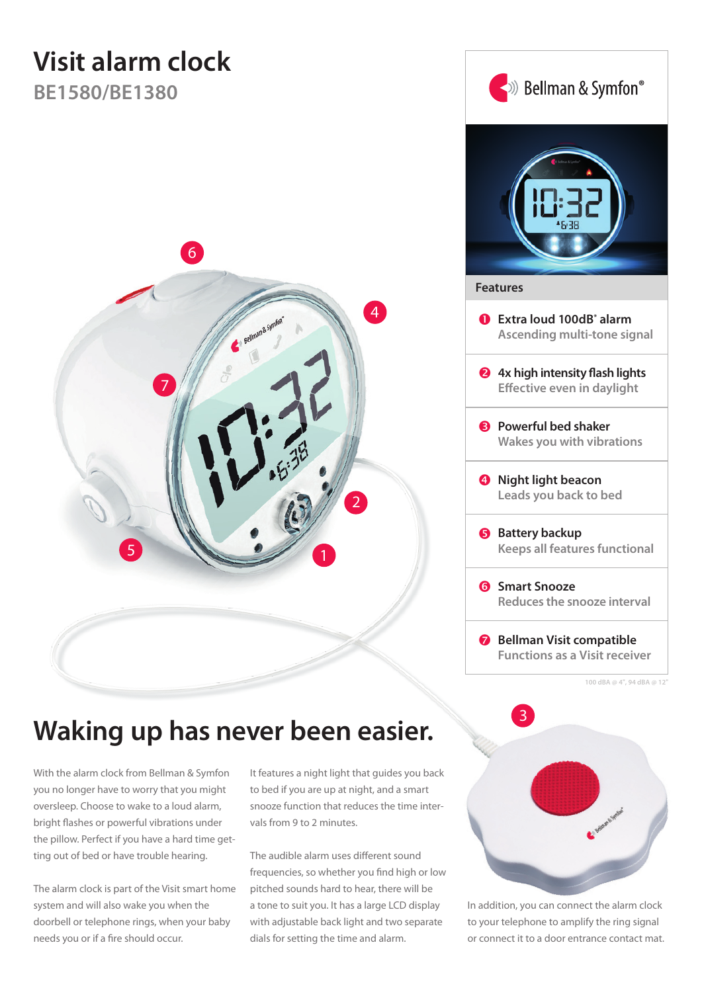# **Visit alarm clock**

**BE1580/BE1380**





# **Waking up has never been easier.**

With the alarm clock from Bellman & Symfon you no longer have to worry that you might oversleep. Choose to wake to a loud alarm, bright flashes or powerful vibrations under the pillow. Perfect if you have a hard time getting out of bed or have trouble hearing.

The alarm clock is part of the Visit smart home system and will also wake you when the doorbell or telephone rings, when your baby needs you or if a fire should occur.

It features a night light that guides you back to bed if you are up at night, and a smart snooze function that reduces the time intervals from 9 to 2 minutes.

The audible alarm uses different sound frequencies, so whether you find high or low pitched sounds hard to hear, there will be a tone to suit you. It has a large LCD display with adjustable back light and two separate dials for setting the time and alarm.



In addition, you can connect the alarm clock to your telephone to amplify the ring signal or connect it to a door entrance contact mat.